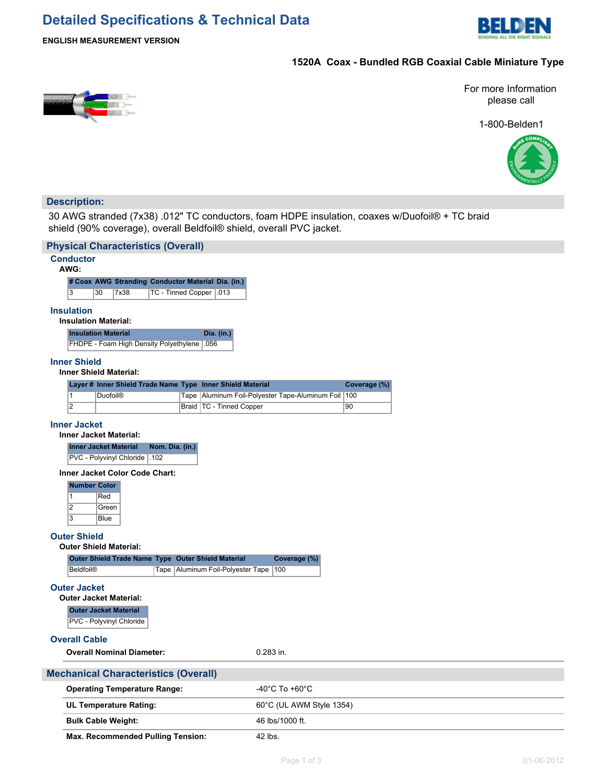## **Detailed Specifications & Technical Data**



#### **ENGLISH MEASUREMENT VERSION**

## **1520A Coax - Bundled RGB Coaxial Cable Miniature Type**



For more Information please call

1-800-Belden1



### **Description:**

30 AWG stranded (7x38) .012" TC conductors, foam HDPE insulation, coaxes w/Duofoil® + TC braid shield (90% coverage), overall Beldfoil® shield, overall PVC jacket.

| <b>Physical Characteristics (Overall)</b>                  |                                                                                                 |                                                |                 |  |  |
|------------------------------------------------------------|-------------------------------------------------------------------------------------------------|------------------------------------------------|-----------------|--|--|
| <b>Conductor</b><br>AWG:                                   |                                                                                                 |                                                |                 |  |  |
| # Coax AWG Stranding Conductor Material Dia. (in.)         |                                                                                                 |                                                |                 |  |  |
| 3<br>30<br>7x38                                            | TC - Tinned Copper   013                                                                        |                                                |                 |  |  |
| <b>Insulation</b><br><b>Insulation Material:</b>           |                                                                                                 |                                                |                 |  |  |
| <b>Insulation Material</b>                                 | Dia. (in.)                                                                                      |                                                |                 |  |  |
| FHDPE - Foam High Density Polyethylene                     | .056                                                                                            |                                                |                 |  |  |
| <b>Inner Shield</b><br><b>Inner Shield Material:</b>       |                                                                                                 |                                                |                 |  |  |
| Layer # Inner Shield Trade Name Type Inner Shield Material |                                                                                                 |                                                | Coverage (%)    |  |  |
| 1<br><b>Duofoil®</b>                                       | Tape                                                                                            | Aluminum Foil-Polyester Tape-Aluminum Foil 100 |                 |  |  |
| 2                                                          | TC - Tinned Copper<br>Braid                                                                     |                                                | $\overline{90}$ |  |  |
| <b>Inner Jacket</b><br><b>Inner Jacket Material:</b>       |                                                                                                 |                                                |                 |  |  |
| <b>Inner Jacket Material</b><br>Nom. Dia. (in.)            |                                                                                                 |                                                |                 |  |  |
| PVC - Polyvinyl Chloride   102                             |                                                                                                 |                                                |                 |  |  |
| <b>Inner Jacket Color Code Chart:</b>                      |                                                                                                 |                                                |                 |  |  |
| <b>Number Color</b>                                        |                                                                                                 |                                                |                 |  |  |
| Red<br>$\mathbf{1}$<br>2<br>Green                          |                                                                                                 |                                                |                 |  |  |
| $\overline{3}$<br><b>Blue</b>                              |                                                                                                 |                                                |                 |  |  |
|                                                            |                                                                                                 |                                                |                 |  |  |
| <b>Outer Shield</b><br><b>Outer Shield Material:</b>       |                                                                                                 |                                                |                 |  |  |
|                                                            |                                                                                                 | Coverage (%)                                   |                 |  |  |
| <b>Beldfoil®</b>                                           | Outer Shield Trade Name Type Outer Shield Material<br>Tape   Aluminum Foil-Polyester Tape   100 |                                                |                 |  |  |
| <b>Outer Jacket</b>                                        |                                                                                                 |                                                |                 |  |  |
| <b>Outer Jacket Material:</b>                              |                                                                                                 |                                                |                 |  |  |
| <b>Outer Jacket Material</b>                               |                                                                                                 |                                                |                 |  |  |
| PVC - Polyvinyl Chloride                                   |                                                                                                 |                                                |                 |  |  |
| <b>Overall Cable</b>                                       |                                                                                                 |                                                |                 |  |  |
| <b>Overall Nominal Diameter:</b>                           |                                                                                                 | $0.283$ in.                                    |                 |  |  |
| <b>Mechanical Characteristics (Overall)</b>                |                                                                                                 |                                                |                 |  |  |
| <b>Operating Temperature Range:</b>                        |                                                                                                 | $-40^{\circ}$ C To $+60^{\circ}$ C             |                 |  |  |
| UL Temperature Rating:                                     |                                                                                                 | 60°C (UL AWM Style 1354)                       |                 |  |  |
| <b>Bulk Cable Weight:</b>                                  |                                                                                                 | 46 lbs/1000 ft.                                |                 |  |  |
| <b>Max. Recommended Pulling Tension:</b>                   |                                                                                                 | 42 lbs.                                        |                 |  |  |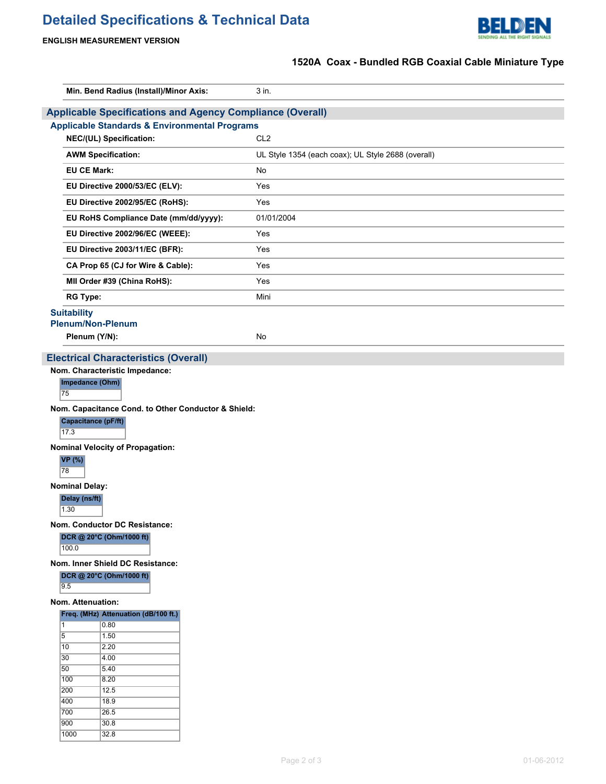# **Detailed Specifications & Technical Data**



### **ENGLISH MEASUREMENT VERSION**

## **1520A Coax - Bundled RGB Coaxial Cable Miniature Type**

| Min. Bend Radius (Install)/Minor Axis:                           | 3 in.                                              |  |  |  |
|------------------------------------------------------------------|----------------------------------------------------|--|--|--|
| <b>Applicable Specifications and Agency Compliance (Overall)</b> |                                                    |  |  |  |
| <b>Applicable Standards &amp; Environmental Programs</b>         |                                                    |  |  |  |
| NEC/(UL) Specification:                                          | CL <sub>2</sub>                                    |  |  |  |
| <b>AWM Specification:</b>                                        | UL Style 1354 (each coax); UL Style 2688 (overall) |  |  |  |
| <b>EU CE Mark:</b>                                               | <b>No</b>                                          |  |  |  |
| EU Directive 2000/53/EC (ELV):                                   | Yes                                                |  |  |  |
| EU Directive 2002/95/EC (RoHS):                                  | Yes                                                |  |  |  |
| EU RoHS Compliance Date (mm/dd/yyyy):                            | 01/01/2004                                         |  |  |  |
| EU Directive 2002/96/EC (WEEE):                                  | Yes                                                |  |  |  |
| EU Directive 2003/11/EC (BFR):                                   | Yes                                                |  |  |  |
| CA Prop 65 (CJ for Wire & Cable):                                | Yes                                                |  |  |  |
| MII Order #39 (China RoHS):                                      | Yes                                                |  |  |  |
| <b>RG Type:</b>                                                  | Mini                                               |  |  |  |
| <b>Suitability</b><br><b>Plenum/Non-Plenum</b>                   |                                                    |  |  |  |
| Plenum (Y/N):                                                    | <b>No</b>                                          |  |  |  |
| <b>Electrical Characteristics (Overall)</b>                      |                                                    |  |  |  |
| Nom. Characteristic Impedance:                                   |                                                    |  |  |  |
| Impedance (Ohm)<br>75                                            |                                                    |  |  |  |
| Nom. Capacitance Cond. to Other Conductor & Shield:              |                                                    |  |  |  |
| <b>Capacitance (pF/ft)</b>                                       |                                                    |  |  |  |

17.3

**Nominal Velocity of Propagation:**

**VP (%)** 78

**Nominal Delay:**

**Delay (ns/ft)**

 $1.30$ 

**Nom. Conductor DC Resistance:**

**DCR @ 20°C (Ohm/1000 ft)** 100.0

**Nom. Inner Shield DC Resistance:**

**DCR @ 20°C (Ohm/1000 ft)**

 $9.5$ 

### **Nom. Attenuation:**

|      | Freq. (MHz) Attenuation (dB/100 ft.) |
|------|--------------------------------------|
| 1    | 0.80                                 |
| 5    | 1.50                                 |
| 10   | 2.20                                 |
| 30   | 4.00                                 |
| 50   | 5.40                                 |
| 100  | 8.20                                 |
| 200  | 12.5                                 |
| 400  | 18.9                                 |
| 700  | 26.5                                 |
| 900  | 30.8                                 |
| 1000 | 32.8                                 |